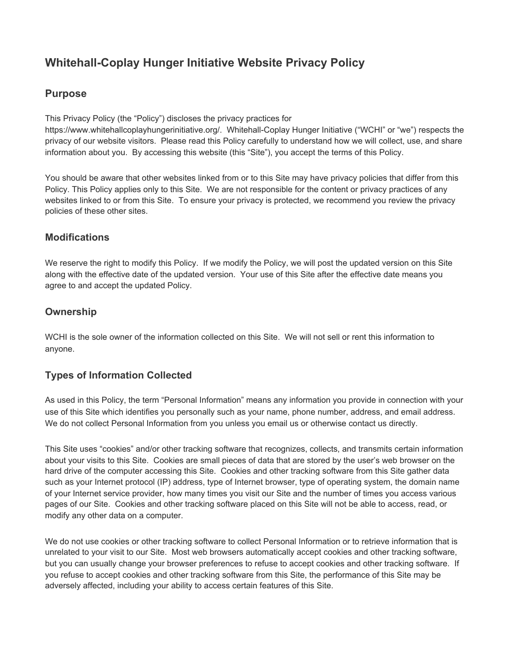# **Whitehall-Coplay Hunger Initiative Website Privacy Policy**

# **Purpose**

This Privacy Policy (the "Policy") discloses the privacy practices for

https://www.whitehallcoplayhungerinitiative.org/. Whitehall-Coplay Hunger Initiative ("WCHI" or "we") respects the privacy of our website visitors. Please read this Policy carefully to understand how we will collect, use, and share information about you. By accessing this website (this "Site"), you accept the terms of this Policy.

You should be aware that other websites linked from or to this Site may have privacy policies that differ from this Policy. This Policy applies only to this Site. We are not responsible for the content or privacy practices of any websites linked to or from this Site. To ensure your privacy is protected, we recommend you review the privacy policies of these other sites.

#### **Modifications**

We reserve the right to modify this Policy. If we modify the Policy, we will post the updated version on this Site along with the effective date of the updated version. Your use of this Site after the effective date means you agree to and accept the updated Policy.

## **Ownership**

WCHI is the sole owner of the information collected on this Site. We will not sell or rent this information to anyone.

# **Types of Information Collected**

As used in this Policy, the term "Personal Information" means any information you provide in connection with your use of this Site which identifies you personally such as your name, phone number, address, and email address. We do not collect Personal Information from you unless you email us or otherwise contact us directly.

This Site uses "cookies" and/or other tracking software that recognizes, collects, and transmits certain information about your visits to this Site. Cookies are small pieces of data that are stored by the user's web browser on the hard drive of the computer accessing this Site. Cookies and other tracking software from this Site gather data such as your Internet protocol (IP) address, type of Internet browser, type of operating system, the domain name of your Internet service provider, how many times you visit our Site and the number of times you access various pages of our Site. Cookies and other tracking software placed on this Site will not be able to access, read, or modify any other data on a computer.

We do not use cookies or other tracking software to collect Personal Information or to retrieve information that is unrelated to your visit to our Site. Most web browsers automatically accept cookies and other tracking software, but you can usually change your browser preferences to refuse to accept cookies and other tracking software. If you refuse to accept cookies and other tracking software from this Site, the performance of this Site may be adversely affected, including your ability to access certain features of this Site.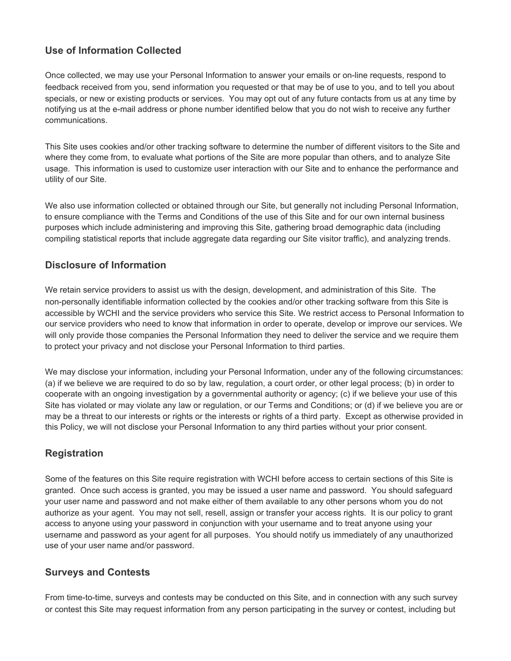# **Use of Information Collected**

Once collected, we may use your Personal Information to answer your emails or on-line requests, respond to feedback received from you, send information you requested or that may be of use to you, and to tell you about specials, or new or existing products or services. You may opt out of any future contacts from us at any time by notifying us at the e-mail address or phone number identified below that you do not wish to receive any further communications.

This Site uses cookies and/or other tracking software to determine the number of different visitors to the Site and where they come from, to evaluate what portions of the Site are more popular than others, and to analyze Site usage. This information is used to customize user interaction with our Site and to enhance the performance and utility of our Site.

We also use information collected or obtained through our Site, but generally not including Personal Information, to ensure compliance with the Terms and Conditions of the use of this Site and for our own internal business purposes which include administering and improving this Site, gathering broad demographic data (including compiling statistical reports that include aggregate data regarding our Site visitor traffic), and analyzing trends.

#### **Disclosure of Information**

We retain service providers to assist us with the design, development, and administration of this Site. The non-personally identifiable information collected by the cookies and/or other tracking software from this Site is accessible by WCHI and the service providers who service this Site. We restrict access to Personal Information to our service providers who need to know that information in order to operate, develop or improve our services. We will only provide those companies the Personal Information they need to deliver the service and we require them to protect your privacy and not disclose your Personal Information to third parties.

We may disclose your information, including your Personal Information, under any of the following circumstances: (a) if we believe we are required to do so by law, regulation, a court order, or other legal process; (b) in order to cooperate with an ongoing investigation by a governmental authority or agency; (c) if we believe your use of this Site has violated or may violate any law or regulation, or our Terms and Conditions; or (d) if we believe you are or may be a threat to our interests or rights or the interests or rights of a third party. Except as otherwise provided in this Policy, we will not disclose your Personal Information to any third parties without your prior consent.

## **Registration**

Some of the features on this Site require registration with WCHI before access to certain sections of this Site is granted. Once such access is granted, you may be issued a user name and password. You should safeguard your user name and password and not make either of them available to any other persons whom you do not authorize as your agent. You may not sell, resell, assign or transfer your access rights. It is our policy to grant access to anyone using your password in conjunction with your username and to treat anyone using your username and password as your agent for all purposes. You should notify us immediately of any unauthorized use of your user name and/or password.

#### **Surveys and Contests**

From time-to-time, surveys and contests may be conducted on this Site, and in connection with any such survey or contest this Site may request information from any person participating in the survey or contest, including but